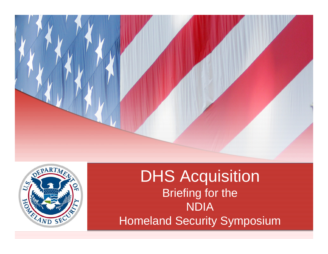



DHS Acquisition Briefing for the NDIA Homeland Security Symposium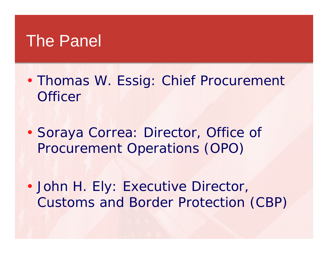## The Panel

• Thomas W. Essig: Chief Procurement **Officer** 

• Soraya Correa: Director, Office of Procurement Operations (OPO)

• John H. Ely: Executive Director, Customs and Border Protection (CBP)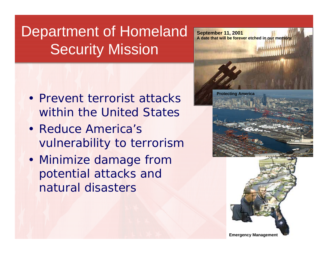## Department of Homeland Security Mission

- Prevent terrorist attacks within the United States
- Reduce America's vulnerability to terrorism
- Minimize damage from potential attacks and natural disasters

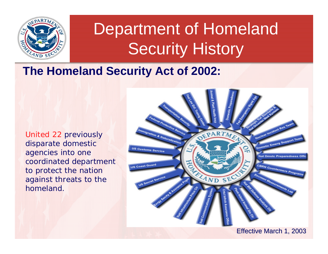

# Department of Homeland Security History

### **The Homeland Security Act of 2002:**

United 22 previously disparate domestic agencies into one coordinated department to protect the nation against threats to the homeland.

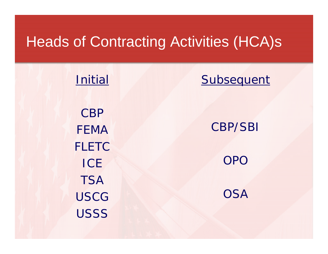### Heads of Contracting Activities (HCA)s

Initial CBPFEMAFLETC**ICE TSA** USCG**USSS** 

### **Subsequent**

CBP/SBI

OPO

**OSA**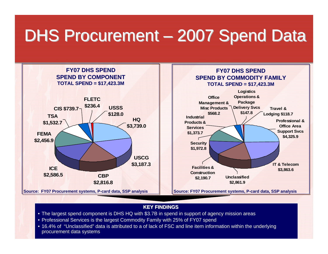# DHS Procurement – 2007 Spend Data



#### **KEY FINDINGS**

- The largest spend component is DHS HQ with \$3.7B in spend in support of agency mission areas
- Professional Services is the largest Commodity Family with 25% of FY07 spend
- 16.4% of "Unclassified" data is attributed to a of lack of FSC and line item information within the underlying procurement data systems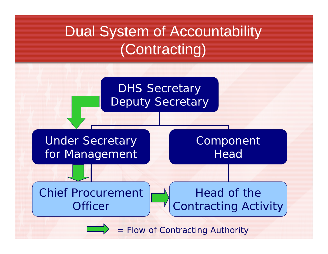## Dual System of Accountability (Contracting)



= Flow of Contracting Authority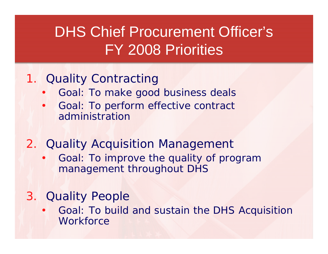## DHS Chief Procurement Officer's FY 2008 Priorities

### 1. Quality Contracting

- Goal: To make good business deals
- Goal: To perform effective contract administration
- 2. Quality Acquisition Management
	- Goal: To improve the quality of program management throughout DHS

### 3. Quality People

• Goal: To build and sustain the DHS Acquisition **Workforce**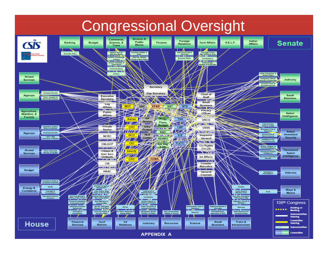### Congressional Oversight